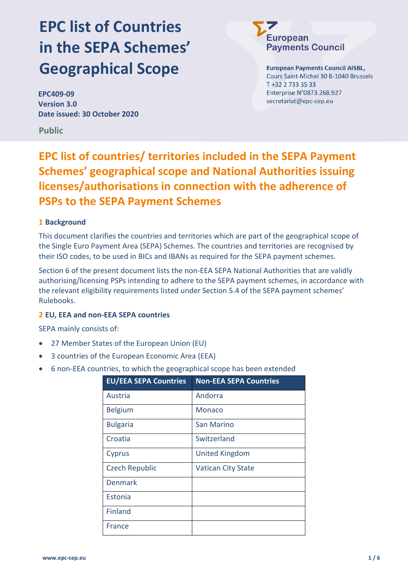# EPC list of Countries in the SEPA Schemes' Geographical Scope

EPC409-09 Version 3.0 Date issued: 30 October 2020

Public

# European **Payments Council**

**European Payments Council AISBL,** Cours Saint-Michel 30 B-1040 Brussels T +32 2 733 35 33 Enterprise N°0873.268.927 secretariat@epc-cep.eu

## EPC list of countries/ territories included in the SEPA Payment Schemes' geographical scope and National Authorities issuing licenses/authorisations in connection with the adherence of PSPs to the SEPA Payment Schemes

### 1 Background

This document clarifies the countries and territories which are part of the geographical scope of the Single Euro Payment Area (SEPA) Schemes. The countries and territories are recognised by their ISO codes, to be used in BICs and IBANs as required for the SEPA payment schemes.

Section 6 of the present document lists the non-EEA SEPA National Authorities that are validly authorising/licensing PSPs intending to adhere to the SEPA payment schemes, in accordance with the relevant eligibility requirements listed under Section 5.4 of the SEPA payment schemes' Rulebooks.

#### 2 EU, EEA and non-EEA SEPA countries

SEPA mainly consists of:

- 27 Member States of the European Union (EU)
- 3 countries of the European Economic Area (EEA)
- 6 non-EEA countries, to which the geographical scope has been extended

| <b>EU/EEA SEPA Countries</b> | <b>Non-EEA SEPA Countries</b> |
|------------------------------|-------------------------------|
| Austria                      | Andorra                       |
| <b>Belgium</b>               | Monaco                        |
| <b>Bulgaria</b>              | San Marino                    |
| Croatia                      | Switzerland                   |
| Cyprus                       | <b>United Kingdom</b>         |
| <b>Czech Republic</b>        | <b>Vatican City State</b>     |
| <b>Denmark</b>               |                               |
| Estonia                      |                               |
| <b>Finland</b>               |                               |
| France                       |                               |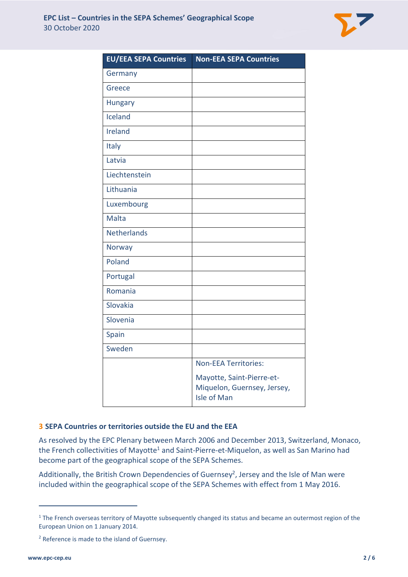

| <b>EU/EEA SEPA Countries</b> | <b>Non-EEA SEPA Countries</b>                                                  |
|------------------------------|--------------------------------------------------------------------------------|
| Germany                      |                                                                                |
| Greece                       |                                                                                |
| <b>Hungary</b>               |                                                                                |
| Iceland                      |                                                                                |
| Ireland                      |                                                                                |
| Italy                        |                                                                                |
| Latvia                       |                                                                                |
| Liechtenstein                |                                                                                |
| Lithuania                    |                                                                                |
| Luxembourg                   |                                                                                |
| <b>Malta</b>                 |                                                                                |
| <b>Netherlands</b>           |                                                                                |
| <b>Norway</b>                |                                                                                |
| Poland                       |                                                                                |
| Portugal                     |                                                                                |
| Romania                      |                                                                                |
| Slovakia                     |                                                                                |
| Slovenia                     |                                                                                |
| Spain                        |                                                                                |
| Sweden                       |                                                                                |
|                              | <b>Non-EEA Territories:</b>                                                    |
|                              | Mayotte, Saint-Pierre-et-<br>Miquelon, Guernsey, Jersey,<br><b>Isle of Man</b> |

#### 3 SEPA Countries or territories outside the EU and the EEA

As resolved by the EPC Plenary between March 2006 and December 2013, Switzerland, Monaco, the French collectivities of Mayotte<sup>1</sup> and Saint-Pierre-et-Miquelon, as well as San Marino had become part of the geographical scope of the SEPA Schemes.

Additionally, the British Crown Dependencies of Guernsey<sup>2</sup>, Jersey and the Isle of Man were included within the geographical scope of the SEPA Schemes with effect from 1 May 2016.

 $1$  The French overseas territory of Mayotte subsequently changed its status and became an outermost region of the European Union on 1 January 2014.

<sup>&</sup>lt;sup>2</sup> Reference is made to the island of Guernsey.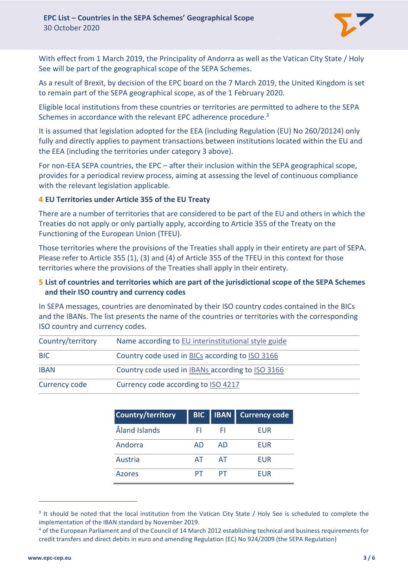

With effect from 1 March 2019, the Principality of Andorra as well as the Vatican City State / Holy See will be part of the geographical scope of the SEPA Schemes.

As a result of Brexit, by decision of the EPC board on the 7 March 2019, the United Kingdom is set to remain part of the SEPA geographical scope, as of the 1 February 2020.

Eligible local institutions from these countries or territories are permitted to adhere to the SEPA Schemes in accordance with the relevant EPC adherence procedure.<sup>3</sup>

It is assumed that legislation adopted for the EEA (including Regulation (EU) No 260/20124) only fully and directly applies to payment transactions between institutions located within the EU and the EEA (including the territories under category 3 above).

For non-EEA SEPA countries, the EPC – after their inclusion within the SEPA geographical scope, provides for a periodical review process, aiming at assessing the level of continuous compliance with the relevant legislation applicable.

#### 4 EU Territories under Article 355 of the EU Treaty

There are a number of territories that are considered to be part of the EU and others in which the Treaties do not apply or only partially apply, according to Article 355 of the Treaty on the Functioning of the European Union (TFEU).

Those territories where the provisions of the Treaties shall apply in their entirety are part of SEPA. Please refer to Article 355 (1), (3) and (4) of Article 355 of the TFEU in this context for those territories where the provisions of the Treaties shall apply in their entirety.

#### 5 List of countries and territories which are part of the jurisdictional scope of the SEPA Schemes and their ISO country and currency codes

In SEPA messages, countries are denominated by their ISO country codes contained in the BICs and the IBANs. The list presents the name of the countries or territories with the corresponding ISO country and currency codes.

| Country/territory | Name according to EU interinstitutional style guide |
|-------------------|-----------------------------------------------------|
| <b>BIC</b>        | Country code used in BICs according to ISO 3166     |
| <b>IBAN</b>       | Country code used in IBANs according to ISO 3166    |
| Currency code     | Currency code according to ISO 4217                 |

| Country/territory | <b>BIC</b> | <b>IBAN</b> | <b>Currency code</b> |
|-------------------|------------|-------------|----------------------|
| Åland Islands     | FΙ         | FI.         | <b>EUR</b>           |
| Andorra           | AD         | AD          | <b>FUR</b>           |
| Austria           | AТ         | AT          | <b>EUR</b>           |
| Azores            |            | PТ          | FUR                  |

<sup>&</sup>lt;sup>3</sup> It should be noted that the local institution from the Vatican City State / Holy See is scheduled to complete the implementation of the IBAN standard by November 2019.

<sup>4</sup> of the European Parliament and of the Council of 14 March 2012 establishing technical and business requirements for credit transfers and direct debits in euro and amending Regulation (EC) No 924/2009 (the SEPA Regulation)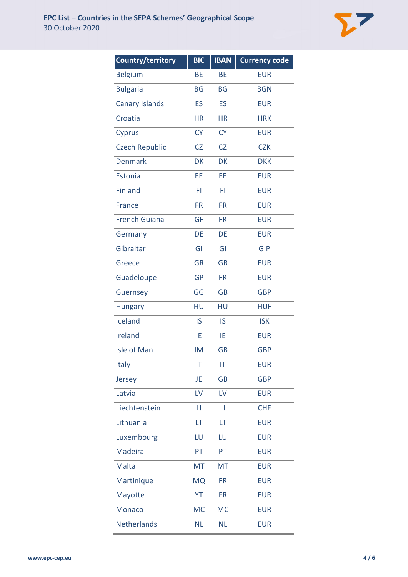

| <b>Country/territory</b> | <b>BIC</b> | <b>IBAN</b> | <b>Currency code</b> |
|--------------------------|------------|-------------|----------------------|
| <b>Belgium</b>           | <b>BE</b>  | <b>BE</b>   | <b>EUR</b>           |
| <b>Bulgaria</b>          | <b>BG</b>  | <b>BG</b>   | <b>BGN</b>           |
| <b>Canary Islands</b>    | ES         | ES          | <b>EUR</b>           |
| Croatia                  | <b>HR</b>  | <b>HR</b>   | <b>HRK</b>           |
| Cyprus                   | <b>CY</b>  | <b>CY</b>   | <b>EUR</b>           |
| <b>Czech Republic</b>    | <b>CZ</b>  | CZ          | <b>CZK</b>           |
| <b>Denmark</b>           | <b>DK</b>  | <b>DK</b>   | <b>DKK</b>           |
| Estonia                  | EE         | EE          | <b>EUR</b>           |
| <b>Finland</b>           | FI         | FI          | <b>EUR</b>           |
| France                   | <b>FR</b>  | <b>FR</b>   | <b>EUR</b>           |
| <b>French Guiana</b>     | <b>GF</b>  | <b>FR</b>   | <b>EUR</b>           |
| Germany                  | DE         | DE          | <b>EUR</b>           |
| Gibraltar                | GI         | GI          | <b>GIP</b>           |
| Greece                   | <b>GR</b>  | GR          | <b>EUR</b>           |
| Guadeloupe               | <b>GP</b>  | <b>FR</b>   | <b>EUR</b>           |
| Guernsey                 | GG         | <b>GB</b>   | <b>GBP</b>           |
| <b>Hungary</b>           | HU         | HU          | <b>HUF</b>           |
| Iceland                  | IS         | IS          | <b>ISK</b>           |
| Ireland                  | ΙE         | IE          | <b>EUR</b>           |
| Isle of Man              | <b>IM</b>  | <b>GB</b>   | <b>GBP</b>           |
| Italy                    | IT         | IT          | <b>EUR</b>           |
| Jersey                   | JE         | <b>GB</b>   | <b>GBP</b>           |
| Latvia                   | LV         | LV          | <b>EUR</b>           |
| Liechtenstein            | П          | П           | <b>CHF</b>           |
| Lithuania                | LT         | LT          | <b>EUR</b>           |
| Luxembourg               | LU         | LU          | <b>EUR</b>           |
| Madeira                  | PT         | PT          | <b>EUR</b>           |
| Malta                    | <b>MT</b>  | <b>MT</b>   | <b>EUR</b>           |
| Martinique               | <b>MQ</b>  | <b>FR</b>   | <b>EUR</b>           |
| Mayotte                  | YT         | <b>FR</b>   | <b>EUR</b>           |
| <b>Monaco</b>            | <b>MC</b>  | <b>MC</b>   | <b>EUR</b>           |
| Netherlands              | <b>NL</b>  | <b>NL</b>   | <b>EUR</b>           |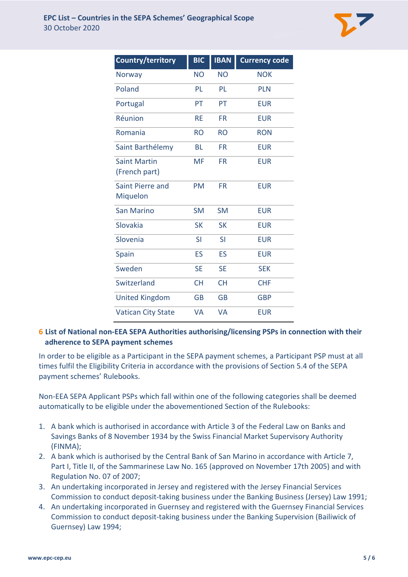

| <b>Country/territory</b>             | <b>BIC</b> | <b>IBAN</b> | <b>Currency code</b> |
|--------------------------------------|------------|-------------|----------------------|
| Norway                               | <b>NO</b>  | <b>NO</b>   | <b>NOK</b>           |
| Poland                               | PL         | PL          | <b>PLN</b>           |
| Portugal                             | PT         | PT          | <b>EUR</b>           |
| Réunion                              | <b>RE</b>  | <b>FR</b>   | <b>EUR</b>           |
| Romania                              | <b>RO</b>  | <b>RO</b>   | <b>RON</b>           |
| Saint Barthélemy                     | BL         | <b>FR</b>   | <b>EUR</b>           |
| <b>Saint Martin</b><br>(French part) | <b>MF</b>  | <b>FR</b>   | <b>EUR</b>           |
| Saint Pierre and<br>Miquelon         | <b>PM</b>  | FR.         | <b>EUR</b>           |
| San Marino                           | <b>SM</b>  | <b>SM</b>   | <b>EUR</b>           |
| Slovakia                             | <b>SK</b>  | <b>SK</b>   | <b>EUR</b>           |
| Slovenia                             | <b>SI</b>  | <b>SI</b>   | <b>EUR</b>           |
| Spain                                | ES         | ES          | <b>EUR</b>           |
| Sweden                               | <b>SE</b>  | <b>SE</b>   | <b>SEK</b>           |
| Switzerland                          | <b>CH</b>  | <b>CH</b>   | <b>CHF</b>           |
| <b>United Kingdom</b>                | GB         | <b>GB</b>   | <b>GBP</b>           |
| <b>Vatican City State</b>            | VA         | VA          | <b>EUR</b>           |

### 6 List of National non-EEA SEPA Authorities authorising/licensing PSPs in connection with their adherence to SEPA payment schemes

In order to be eligible as a Participant in the SEPA payment schemes, a Participant PSP must at all times fulfil the Eligibility Criteria in accordance with the provisions of Section 5.4 of the SEPA payment schemes' Rulebooks.

Non-EEA SEPA Applicant PSPs which fall within one of the following categories shall be deemed automatically to be eligible under the abovementioned Section of the Rulebooks:

- 1. A bank which is authorised in accordance with Article 3 of the Federal Law on Banks and Savings Banks of 8 November 1934 by the Swiss Financial Market Supervisory Authority (FINMA);
- 2. A bank which is authorised by the Central Bank of San Marino in accordance with Article 7, Part I, Title II, of the Sammarinese Law No. 165 (approved on November 17th 2005) and with Regulation No. 07 of 2007;
- 3. An undertaking incorporated in Jersey and registered with the Jersey Financial Services Commission to conduct deposit-taking business under the Banking Business (Jersey) Law 1991;
- 4. An undertaking incorporated in Guernsey and registered with the Guernsey Financial Services Commission to conduct deposit-taking business under the Banking Supervision (Bailiwick of Guernsey) Law 1994;